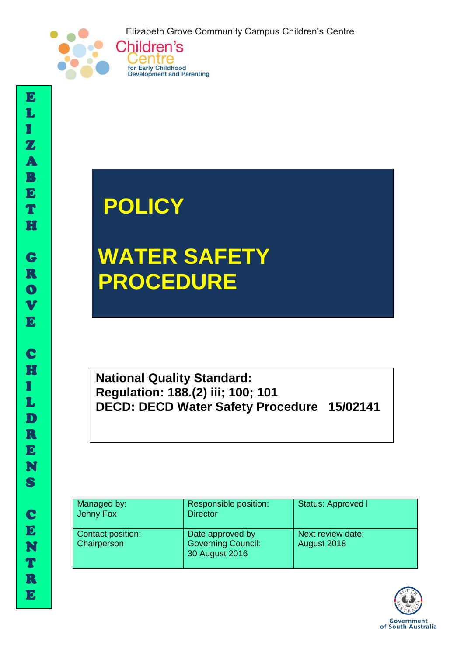Elizabeth Grove Community Campus Children's Centre



## **POLICY**

Gentre for Early Childhood **Development and Parenting** 

# **WATER SAFETY PROCEDURE**

**National Quality Standard: Regulation: 188.(2) iii; 100; 101 DECD: DECD Water Safety Procedure 15/02141**

| Managed by:<br>Jenny Fox                | Responsible position:<br><b>Director</b>                        | Status: Approved I               |
|-----------------------------------------|-----------------------------------------------------------------|----------------------------------|
| Contact position:<br><b>Chairperson</b> | Date approved by<br><b>Governing Council:</b><br>30 August 2016 | Next review date:<br>August 2018 |



I